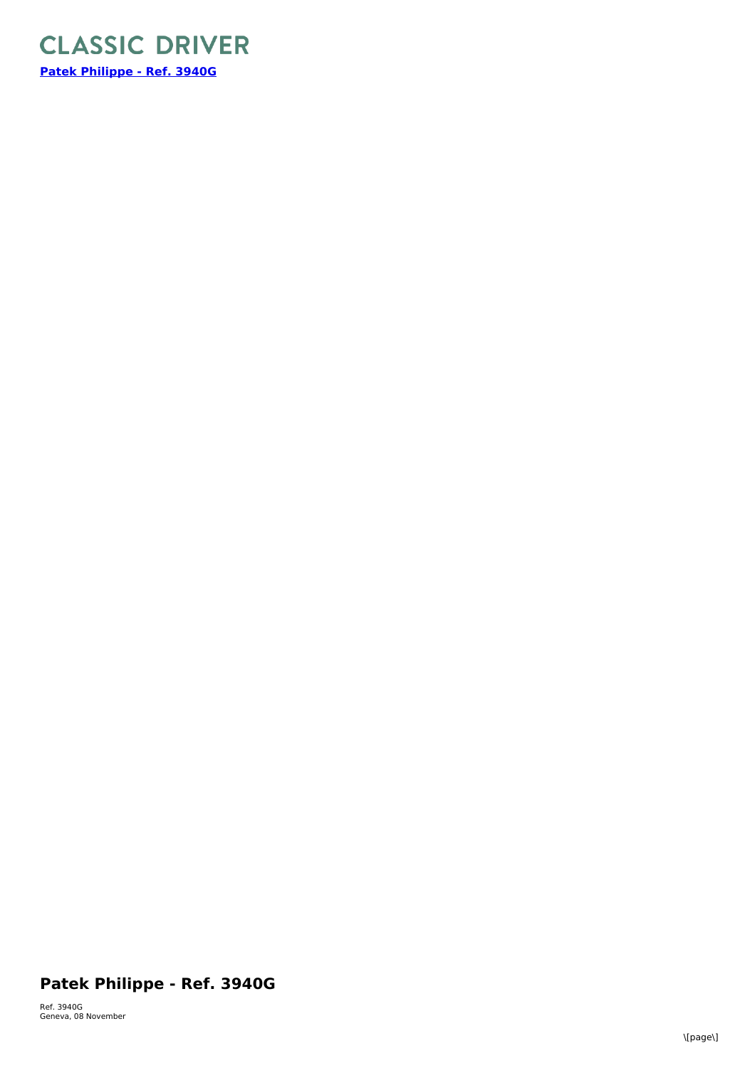

## **Patek Philippe - Ref. 3940G**

Ref. 3940G Geneva, 08 November